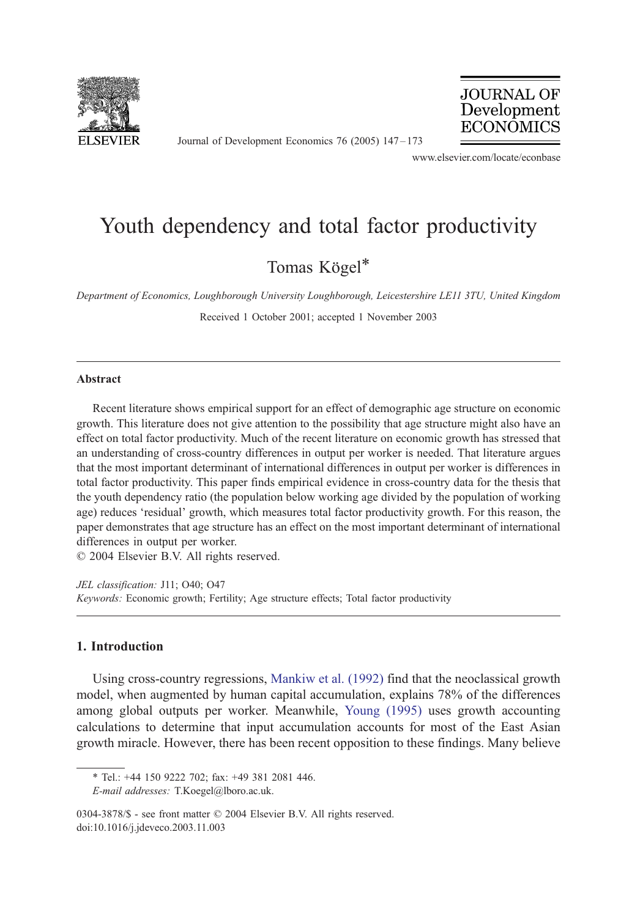

Journal of Development Economics 76 (2005) 147 – 173



www.elsevier.com/locate/econbase

## Youth dependency and total factor productivity

Tomas Kögel\*

Department of Economics, Loughborough University Loughborough, Leicestershire LE11 3TU, United Kingdom

Received 1 October 2001; accepted 1 November 2003

## Abstract

Recent literature shows empirical support for an effect of demographic age structure on economic growth. This literature does not give attention to the possibility that age structure might also have an effect on total factor productivity. Much of the recent literature on economic growth has stressed that an understanding of cross-country differences in output per worker is needed. That literature argues that the most important determinant of international differences in output per worker is differences in total factor productivity. This paper finds empirical evidence in cross-country data for the thesis that the youth dependency ratio (the population below working age divided by the population of working age) reduces 'residual' growth, which measures total factor productivity growth. For this reason, the paper demonstrates that age structure has an effect on the most important determinant of international differences in output per worker.

 $© 2004 Elsevier B.V. All rights reserved.$ 

JEL classification: J11; O40; O47 Keywords: Economic growth; Fertility; Age structure effects; Total factor productivity

## 1. Introduction

Using cross-country regressions, [Mankiw et al. \(1992\)](#page--1-0) find that the neoclassical growth model, when augmented by human capital accumulation, explains 78% of the differences among global outputs per worker. Meanwhile, [Young \(1995\)](#page--1-0) uses growth accounting calculations to determine that input accumulation accounts for most of the East Asian growth miracle. However, there has been recent opposition to these findings. Many believe

<sup>\*</sup> Tel.: +44 150 9222 702; fax: +49 381 2081 446.

E-mail addresses: T.Koegel@lboro.ac.uk.

<sup>0304-3878/\$ -</sup> see front matter © 2004 Elsevier B.V. All rights reserved. doi:10.1016/j.jdeveco.2003.11.003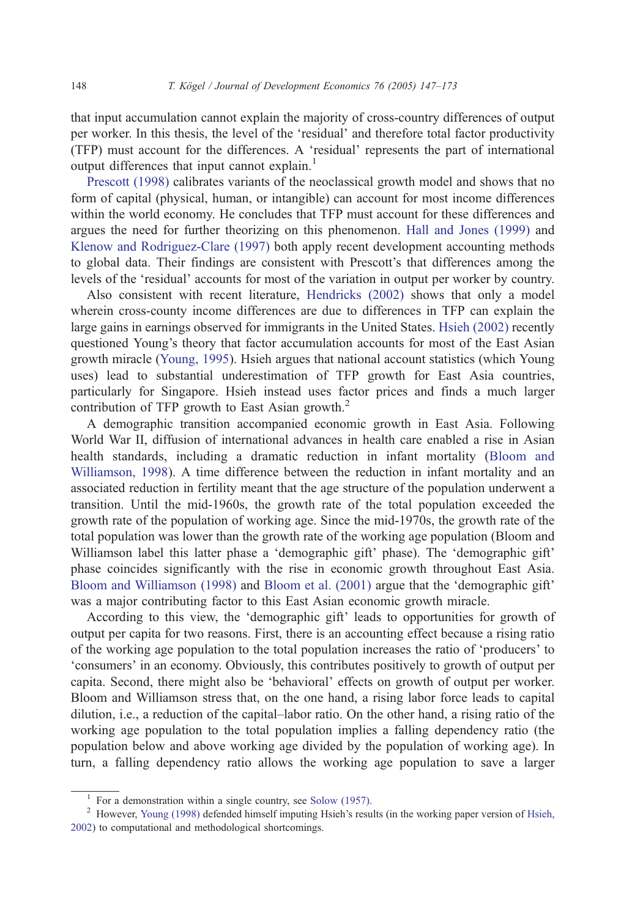that input accumulation cannot explain the majority of cross-country differences of output per worker. In this thesis, the level of the 'residual' and therefore total factor productivity (TFP) must account for the differences. A 'residual' represents the part of international output differences that input cannot explain.<sup>1</sup>

[Prescott \(1998\)](#page--1-0) calibrates variants of the neoclassical growth model and shows that no form of capital (physical, human, or intangible) can account for most income differences within the world economy. He concludes that TFP must account for these differences and argues the need for further theorizing on this phenomenon. [Hall and Jones \(1999\)](#page--1-0) and [Klenow and Rodriguez-Clare \(1997\)](#page--1-0) both apply recent development accounting methods to global data. Their findings are consistent with Prescott's that differences among the levels of the 'residual' accounts for most of the variation in output per worker by country.

Also consistent with recent literature, [Hendricks \(2002\)](#page--1-0) shows that only a model wherein cross-county income differences are due to differences in TFP can explain the large gains in earnings observed for immigrants in the United States. [Hsieh \(2002\)](#page--1-0) recently questioned Young's theory that factor accumulation accounts for most of the East Asian growth miracle ([Young, 1995\)](#page--1-0). Hsieh argues that national account statistics (which Young uses) lead to substantial underestimation of TFP growth for East Asia countries, particularly for Singapore. Hsieh instead uses factor prices and finds a much larger contribution of TFP growth to East Asian growth. $2$ 

A demographic transition accompanied economic growth in East Asia. Following World War II, diffusion of international advances in health care enabled a rise in Asian health standards, including a dramatic reduction in infant mortality ([Bloom and](#page--1-0) Williamson, 1998). A time difference between the reduction in infant mortality and an associated reduction in fertility meant that the age structure of the population underwent a transition. Until the mid-1960s, the growth rate of the total population exceeded the growth rate of the population of working age. Since the mid-1970s, the growth rate of the total population was lower than the growth rate of the working age population (Bloom and Williamson label this latter phase a 'demographic gift' phase). The 'demographic gift' phase coincides significantly with the rise in economic growth throughout East Asia. [Bloom and Williamson \(1998\)](#page--1-0) and [Bloom et al. \(2001\)](#page--1-0) argue that the 'demographic gift' was a major contributing factor to this East Asian economic growth miracle.

According to this view, the 'demographic gift' leads to opportunities for growth of output per capita for two reasons. First, there is an accounting effect because a rising ratio of the working age population to the total population increases the ratio of 'producers' to consumers' in an economy. Obviously, this contributes positively to growth of output per capita. Second, there might also be 'behavioral' effects on growth of output per worker. Bloom and Williamson stress that, on the one hand, a rising labor force leads to capital dilution, i.e., a reduction of the capital–labor ratio. On the other hand, a rising ratio of the working age population to the total population implies a falling dependency ratio (the population below and above working age divided by the population of working age). In turn, a falling dependency ratio allows the working age population to save a larger

<sup>&</sup>lt;sup>1</sup> For a demonstration within a single country, see [Solow \(1957\).](#page--1-0)<br><sup>2</sup> However, [Young \(1998\)](#page--1-0) defended himself imputing Hsieh's results (in the working paper version of [Hsieh,](#page--1-0) 2002) to computational and methodological shortcomings.